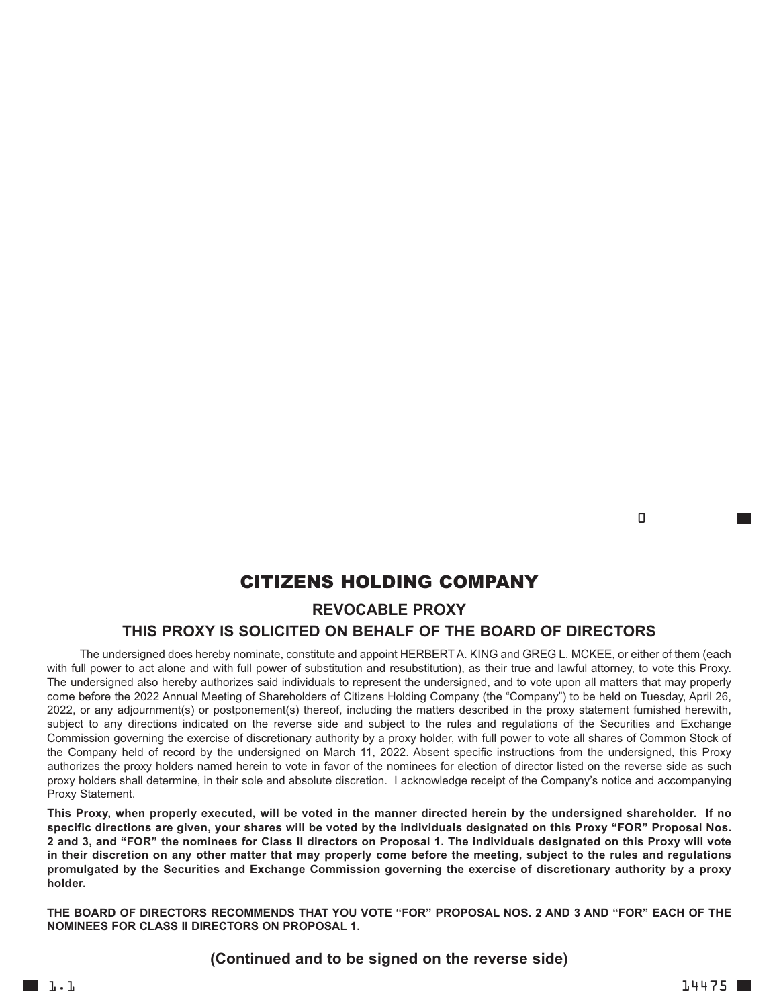<u>de la componentación de la componentación de la componentación de la componentación de la componentación de l</u>

## CITIZENS HOLDING COMPANY **REVOCABLE PROXY**

## **THIS PROXY IS SOLICITED ON BEHALF OF THE BOARD OF DIRECTORS**

The undersigned does hereby nominate, constitute and appoint HERBERTA. KING and GREG L. MCKEE, or either of them (each with full power to act alone and with full power of substitution and resubstitution), as their true and lawful attorney, to vote this Proxy. The undersigned also hereby authorizes said individuals to represent the undersigned, and to vote upon all matters that may properly come before the 2022 Annual Meeting of Shareholders of Citizens Holding Company (the "Company") to be held on Tuesday, April 26, 2022, or any adjournment(s) or postponement(s) thereof, including the matters described in the proxy statement furnished herewith, subject to any directions indicated on the reverse side and subject to the rules and regulations of the Securities and Exchange Commission governing the exercise of discretionary authority by a proxy holder, with full power to vote all shares of Common Stock of the Company held of record by the undersigned on March 11, 2022. Absent specific instructions from the undersigned, this Proxy authorizes the proxy holders named herein to vote in favor of the nominees for election of director listed on the reverse side as such proxy holders shall determine, in their sole and absolute discretion. I acknowledge receipt of the Company's notice and accompanying Proxy Statement.

This Proxy, when properly executed, will be voted in the manner directed herein by the undersigned shareholder. If no specific directions are given, your shares will be voted by the individuals designated on this Proxy "FOR" Proposal Nos. 2 and 3, and "FOR" the nominees for Class II directors on Proposal 1. The individuals designated on this Proxy will vote in their discretion on any other matter that may properly come before the meeting, subject to the rules and regulations promulgated by the Securities and Exchange Commission governing the exercise of discretionary authority by a proxy **holder.**

THE BOARD OF DIRECTORS RECOMMENDS THAT YOU VOTE "FOR" PROPOSAL NOS, 2 AND 3 AND "FOR" FACH OF THE **NOMINEES FOR CLASS II DIRECTORS ON PROPOSAL 1.**

### **(Continued and to be signed on the reverse side)**